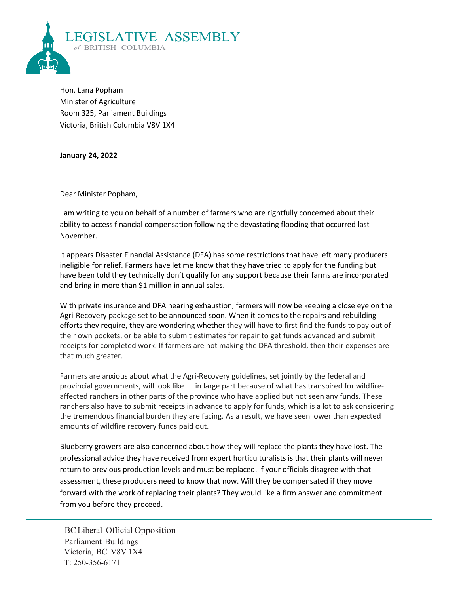

Hon. Lana Popham Minister of Agriculture Room 325, Parliament Buildings Victoria, British Columbia V8V 1X4

**January 24, 2022**

Dear Minister Popham,

I am writing to you on behalf of a number of farmers who are rightfully concerned about their ability to access financial compensation following the devastating flooding that occurred last November.

It appears Disaster Financial Assistance (DFA) has some restrictions that have left many producers ineligible for relief. Farmers have let me know that they have tried to apply for the funding but have been told they technically don't qualify for any support because their farms are incorporated and bring in more than \$1 million in annual sales.

With private insurance and DFA nearing exhaustion, farmers will now be keeping a close eye on the Agri-Recovery package set to be announced soon. When it comes to the repairs and rebuilding efforts they require, they are wondering whether they will have to first find the funds to pay out of their own pockets, or be able to submit estimates for repair to get funds advanced and submit receipts for completed work. If farmers are not making the DFA threshold, then their expenses are that much greater.

Farmers are anxious about what the Agri-Recovery guidelines, set jointly by the federal and provincial governments, will look like — in large part because of what has transpired for wildfireaffected ranchers in other parts of the province who have applied but not seen any funds. These ranchers also have to submit receipts in advance to apply for funds, which is a lot to ask considering the tremendous financial burden they are facing. As a result, we have seen lower than expected amounts of wildfire recovery funds paid out.

Blueberry growers are also concerned about how they will replace the plants they have lost. The professional advice they have received from expert horticulturalists is that their plants will never return to previous production levels and must be replaced. If your officials disagree with that assessment, these producers need to know that now. Will they be compensated if they move forward with the work of replacing their plants? They would like a firm answer and commitment from you before they proceed.

BC Liberal Official Opposition Parliament Buildings Victoria, BC V8V 1X4 T: 250-356-6171